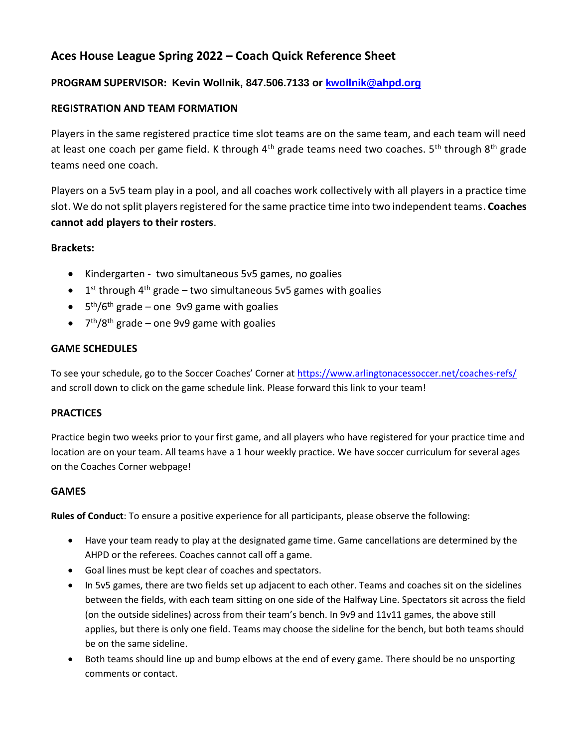# **Aces House League Spring 2022 – Coach Quick Reference Sheet**

# **PROGRAM SUPERVISOR: Kevin Wollnik, 847.506.7133 or [kwollnik@ahpd.org](mailto:kwollnik@ahpd.org)**

## **REGISTRATION AND TEAM FORMATION**

Players in the same registered practice time slot teams are on the same team, and each team will need at least one coach per game field. K through 4<sup>th</sup> grade teams need two coaches. 5<sup>th</sup> through 8<sup>th</sup> grade teams need one coach.

Players on a 5v5 team play in a pool, and all coaches work collectively with all players in a practice time slot. We do not split players registered for the same practice time into two independent teams. **Coaches cannot add players to their rosters**.

## **Brackets:**

- Kindergarten two simultaneous 5v5 games, no goalies
- $\bullet$  1<sup>st</sup> through 4<sup>th</sup> grade two simultaneous 5v5 games with goalies
- $\bullet$  5<sup>th</sup>/6<sup>th</sup> grade one 9v9 game with goalies
- 7<sup>th</sup>/8<sup>th</sup> grade one 9v9 game with goalies

## **GAME SCHEDULES**

To see your schedule, go to the Soccer Coaches' Corner at <https://www.arlingtonacessoccer.net/coaches-refs/> and scroll down to click on the game schedule link. Please forward this link to your team!

## **PRACTICES**

Practice begin two weeks prior to your first game, and all players who have registered for your practice time and location are on your team. All teams have a 1 hour weekly practice. We have soccer curriculum for several ages on the Coaches Corner webpage!

## **GAMES**

**Rules of Conduct**: To ensure a positive experience for all participants, please observe the following:

- Have your team ready to play at the designated game time. Game cancellations are determined by the AHPD or the referees. Coaches cannot call off a game.
- Goal lines must be kept clear of coaches and spectators.
- In 5v5 games, there are two fields set up adjacent to each other. Teams and coaches sit on the sidelines between the fields, with each team sitting on one side of the Halfway Line. Spectators sit across the field (on the outside sidelines) across from their team's bench. In 9v9 and 11v11 games, the above still applies, but there is only one field. Teams may choose the sideline for the bench, but both teams should be on the same sideline.
- Both teams should line up and bump elbows at the end of every game. There should be no unsporting comments or contact.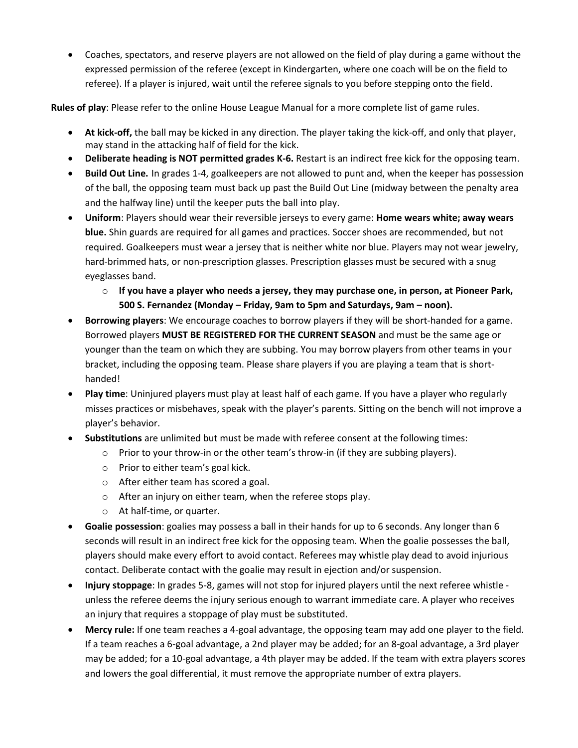Coaches, spectators, and reserve players are not allowed on the field of play during a game without the expressed permission of the referee (except in Kindergarten, where one coach will be on the field to referee). If a player is injured, wait until the referee signals to you before stepping onto the field.

**Rules of play**: Please refer to the online House League Manual for a more complete list of game rules.

- **At kick-off,** the ball may be kicked in any direction. The player taking the kick-off, and only that player, may stand in the attacking half of field for the kick.
- **Deliberate heading is NOT permitted grades K-6.** Restart is an indirect free kick for the opposing team.
- **Build Out Line.** In grades 1-4, goalkeepers are not allowed to punt and, when the keeper has possession of the ball, the opposing team must back up past the Build Out Line (midway between the penalty area and the halfway line) until the keeper puts the ball into play.
- **Uniform**: Players should wear their reversible jerseys to every game: **Home wears white; away wears blue.** Shin guards are required for all games and practices. Soccer shoes are recommended, but not required. Goalkeepers must wear a jersey that is neither white nor blue. Players may not wear jewelry, hard-brimmed hats, or non-prescription glasses. Prescription glasses must be secured with a snug eyeglasses band.
	- o **If you have a player who needs a jersey, they may purchase one, in person, at Pioneer Park, 500 S. Fernandez (Monday – Friday, 9am to 5pm and Saturdays, 9am – noon).**
- **Borrowing players**: We encourage coaches to borrow players if they will be short-handed for a game. Borrowed players **MUST BE REGISTERED FOR THE CURRENT SEASON** and must be the same age or younger than the team on which they are subbing. You may borrow players from other teams in your bracket, including the opposing team. Please share players if you are playing a team that is shorthanded!
- **Play time**: Uninjured players must play at least half of each game. If you have a player who regularly misses practices or misbehaves, speak with the player's parents. Sitting on the bench will not improve a player's behavior.
- **Substitutions** are unlimited but must be made with referee consent at the following times:
	- $\circ$  Prior to your throw-in or the other team's throw-in (if they are subbing players).
	- o Prior to either team's goal kick.
	- o After either team has scored a goal.
	- o After an injury on either team, when the referee stops play.
	- o At half-time, or quarter.
- **Goalie possession**: goalies may possess a ball in their hands for up to 6 seconds. Any longer than 6 seconds will result in an indirect free kick for the opposing team. When the goalie possesses the ball, players should make every effort to avoid contact. Referees may whistle play dead to avoid injurious contact. Deliberate contact with the goalie may result in ejection and/or suspension.
- **Injury stoppage**: In grades 5-8, games will not stop for injured players until the next referee whistle unless the referee deems the injury serious enough to warrant immediate care. A player who receives an injury that requires a stoppage of play must be substituted.
- **Mercy rule:** If one team reaches a 4-goal advantage, the opposing team may add one player to the field. If a team reaches a 6-goal advantage, a 2nd player may be added; for an 8-goal advantage, a 3rd player may be added; for a 10-goal advantage, a 4th player may be added. If the team with extra players scores and lowers the goal differential, it must remove the appropriate number of extra players.